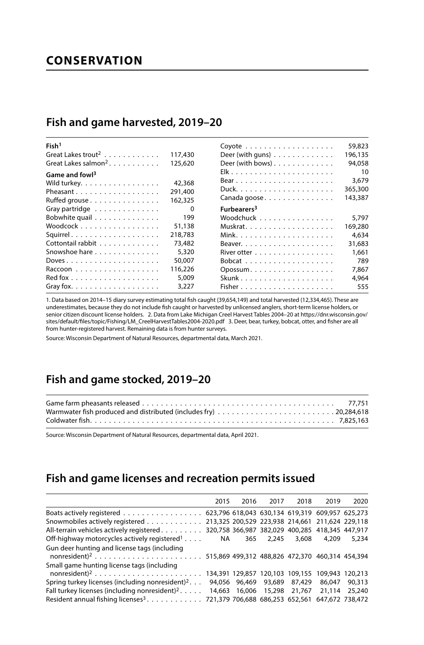## **CONSERVATION**

## Fish and game harvested, 2019-20

| Fish <sup>1</sup>                                                        |          |                                                     | 59.823  |
|--------------------------------------------------------------------------|----------|-----------------------------------------------------|---------|
| Great Lakes trout <sup>2</sup>                                           | 117,430  | Deer (with guns) $\dots \dots \dots \dots$          | 196.135 |
| Great Lakes salmon <sup>2</sup> .                                        | 125.620  | Deer (with bows)                                    | 94.058  |
| Game and fowl <sup>3</sup>                                               |          |                                                     | 10      |
| Wild turkey.                                                             | 42,368   |                                                     | 3.679   |
| Pheasant                                                                 | 291,400  |                                                     | 365,300 |
| Ruffed grouse                                                            | 162,325  | Canada goose                                        | 143,387 |
| Gray partridge                                                           | $\Omega$ | Furbearers <sup>3</sup>                             |         |
| Bobwhite quail                                                           | 199      | Woodchuck $\ldots$ , $\ldots$ , $\ldots$ , $\ldots$ | 5.797   |
| Woodcock                                                                 | 51,138   | Muskrat.                                            | 169,280 |
| Squirrel. $\ldots \ldots \ldots \ldots \ldots$                           | 218,783  |                                                     | 4.634   |
| Cottontail rabbit                                                        | 73,482   |                                                     | 31,683  |
| Snowshoe hare                                                            | 5,320    | River otter                                         | 1.661   |
|                                                                          | 50.007   |                                                     | 789     |
| Raccoon                                                                  | 116.226  | Opossum                                             | 7.867   |
| $Red$ fox $\ldots$ $\ldots$ $\ldots$ $\ldots$ $\ldots$ $\ldots$ $\ldots$ | 5.009    | Skunk                                               | 4.964   |
|                                                                          | 3,227    |                                                     | 555     |

1. Data based on 2014-15 diary survey estimating total fish caught (39,654,149) and total harvested (12,334,465). These are underestimates, because they do not include fish caught or harvested by unlicensed anglers, short-term license holders, or senior citizen discount license holders. 2. Data from Lake Michigan Creel Harvest Tables 2004-20 at https://dnr.wisconsin.gov/ sites/default/files/topic/Fishing/LM\_CreelHarvestTables2004-2020.pdf 3. Deer, bear, turkey, bobcat, otter, and fisher are all from hunter-registered harvest. Remaining data is from hunter surveys.

Source: Wisconsin Department of Natural Resources, departmental data, March 2021.

#### Fish and game stocked, 2019-20

| Warmwater fish produced and distributed (includes fry) 20,284,618 |  |
|-------------------------------------------------------------------|--|
|                                                                   |  |

Source: Wisconsin Department of Natural Resources, departmental data, April 2021.

#### Fish and game licenses and recreation permits issued

|                                                                                               | 2015 | 2016 | 2017 | 2018               | 2019                                            | 2020   |
|-----------------------------------------------------------------------------------------------|------|------|------|--------------------|-------------------------------------------------|--------|
| Boats actively registered                                                                     |      |      |      |                    | 623,796 618,043 630,134 619,319 609,957 625,273 |        |
| Snowmobiles actively registered                                                               |      |      |      |                    | 213,325 200,529 223,938 214,661 211,624 229,118 |        |
| All-terrain vehicles actively registered                                                      |      |      |      |                    | 320,758 366,987 382,029 400,285 418,345 447,917 |        |
| Off-highway motorcycles actively registered <sup>1</sup>                                      |      |      |      | NA 365 2,245 3,608 | 4,209                                           | 5,234  |
| Gun deer hunting and license tags (including                                                  |      |      |      |                    |                                                 |        |
| Small game hunting license tags (including                                                    |      |      |      |                    |                                                 |        |
|                                                                                               |      |      |      |                    | 134,391 129,857 120,103 109,155 109,943 120,213 |        |
| Spring turkey licenses (including nonresident) <sup>2</sup>                                   |      |      |      |                    | 94.056 96.469 93.689 87.429 86.047              | 90.313 |
| Fall turkey licenses (including nonresident) <sup>2</sup>                                     |      |      |      |                    | 14.663 16.006 15.298 21.767 21.114              | 25.240 |
| Resident annual fishing licenses <sup>3</sup> 721,379 706,688 686,253 652,561 647,672 738,472 |      |      |      |                    |                                                 |        |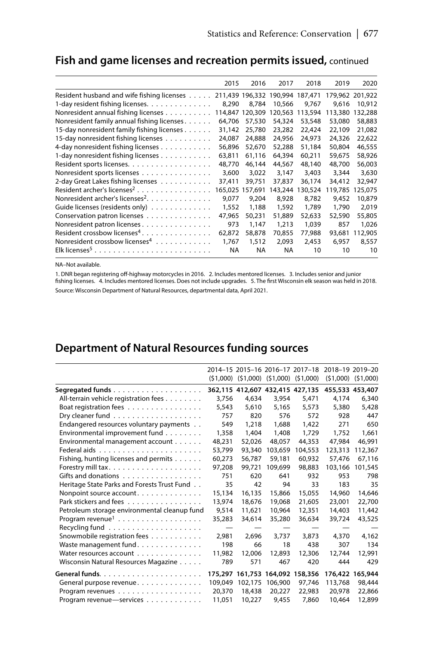## Fish and game licenses and recreation permits issued, continued

|                                              | 2015            | 2016    | 2017                            | 2018    | 2019    | 2020            |
|----------------------------------------------|-----------------|---------|---------------------------------|---------|---------|-----------------|
| Resident husband and wife fishing licenses   |                 |         | 211,439 196,332 190,994 187,471 |         |         | 179.962 201.922 |
| 1-day resident fishing licenses.             | 8.290           | 8,784   | 10,566                          | 9,767   | 9.616   | 10,912          |
| Nonresident annual fishing licenses          | 114,847         | 120,309 | 120,563                         | 113,594 | 113,380 | 132,288         |
| Nonresident family annual fishing licenses   | 64,706          | 57,530  | 54,324                          | 53,548  | 53,080  | 58,883          |
| 15-day nonresident family fishing licenses   | 31,142          | 25,780  | 23,282                          | 22,424  | 22,109  | 21,082          |
| 15-day nonresident fishing licenses          | 24.087          | 24,888  | 24,956                          | 24.973  | 24,326  | 22,622          |
| 4-day nonresident fishing licenses           | 56,896          | 52,670  | 52,288                          | 51,184  | 50,804  | 46,555          |
| 1-day nonresident fishing licenses           | 63,811          | 61.116  | 64,394                          | 60.211  | 59.675  | 58,926          |
|                                              | 48,770          | 46,144  | 44,567                          | 48,140  | 48,700  | 56,003          |
| Nonresident sports licenses                  | 3,600           | 3,022   | 3,147                           | 3,403   | 3,344   | 3,630           |
| 2-day Great Lakes fishing licenses           | 37,411          | 39,751  | 37,837                          | 36,174  | 34,412  | 32,947          |
| Resident archer's licenses <sup>2</sup>      | 165.025 157.691 |         | 143.244                         | 130.524 | 119,785 | 125,075         |
| Nonresident archer's licenses <sup>2</sup> . | 9.077           | 9.204   | 8.928                           | 8.782   | 9.452   | 10.879          |
| Guide licenses (residents only)              | 1,552           | 1,188   | 1,592                           | 1,789   | 1,790   | 2,019           |
| Conservation patron licenses                 | 47,965          | 50,231  | 51,889                          | 52,633  | 52,590  | 55,805          |
| Nonresident patron licenses                  | 973             | 1,147   | 1,213                           | 1.039   | 857     | 1.026           |
| Resident crossbow licenses <sup>4</sup>      | 62,872          | 58,878  | 70,855                          | 77,988  | 93,681  | 112,905         |
| Nonresident crossbow licenses <sup>4</sup>   | 1.767           | 1,512   | 2.093                           | 2.453   | 6.957   | 8,557           |
| Elk licenses <sup>5</sup>                    | <b>NA</b>       | NA      | <b>NA</b>                       | 10      | 10      | 10              |

NA-Not available.

1. DNR began registering off-highway motorcycles in 2016. 2. Includes mentored licenses. 3. Includes senior and junior fishing licenses. 4. Includes mentored licenses. Does not include upgrades. 5. The first Wisconsin elk season was held in 2018.

Source: Wisconsin Department of Natural Resources, departmental data, April 2021.

### **Department of Natural Resources funding sources**

|                                                |         |                 | $(51,000)$ $(51,000)$ $(51,000)$ $(51,000)$ | 2014-15 2015-16 2016-17 2017-18 | 2018-19 2019-20 | $(51,000)$ $(51,000)$ |
|------------------------------------------------|---------|-----------------|---------------------------------------------|---------------------------------|-----------------|-----------------------|
| Segregated funds                               |         |                 | 362,115 412,607 432,415 427,135             |                                 | 455,533 453,407 |                       |
| All-terrain vehicle registration fees          | 3,756   | 4.634           | 3,954                                       | 5,471                           | 4,174           | 6,340                 |
| Boat registration fees                         | 5,543   | 5.610           | 5.165                                       | 5,573                           | 5,380           | 5,428                 |
|                                                | 757     | 820             | 576                                         | 572                             | 928             | 447                   |
| Endangered resources voluntary payments        | 549     | 1,218           | 1.688                                       | 1,422                           | 271             | 650                   |
| Environmental improvement fund $\ldots \ldots$ | 1,358   | 1,404           | 1,408                                       | 1.729                           | 1,752           | 1.661                 |
| Environmental management account               | 48.231  | 52.026          | 48.057                                      | 44,353                          | 47.984          | 46.991                |
|                                                | 53,799  | 93,340          | 103,659                                     | 104,553                         | 123,313         | 112.367               |
| Fishing, hunting licenses and permits          | 60.273  | 56.787          | 59.181                                      | 60.932                          | 57.476          | 67.116                |
|                                                | 97.208  | 99.721          | 109.699                                     | 98.883                          | 103,166         | 101.545               |
| Gifts and donations                            | 751     | 620             | 641                                         | 932                             | 953             | 798                   |
| Heritage State Parks and Forests Trust Fund    | 35      | 42              | 94                                          | 33                              | 183             | 35                    |
| Nonpoint source account.                       | 15,134  | 16.135          | 15,866                                      | 15,055                          | 14,960          | 14,646                |
| Park stickers and fees                         | 13,974  | 18.676          | 19,068                                      | 21.605                          | 23,001          | 22,700                |
| Petroleum storage environmental cleanup fund   | 9.514   | 11,621          | 10.964                                      | 12,351                          | 14,403          | 11,442                |
| Program revenue <sup>1</sup>                   | 35,283  | 34,614          | 35,280                                      | 36,634                          | 39,724          | 43,525                |
|                                                |         |                 |                                             |                                 |                 |                       |
| Snowmobile registration fees                   | 2,981   | 2,696           | 3,737                                       | 3,873                           | 4,370           | 4,162                 |
| Waste management fund.                         | 198     | 66              | 18                                          | 438                             | 307             | 134                   |
| Water resources account                        | 11.982  | 12,006          | 12.893                                      | 12,306                          | 12,744          | 12,991                |
| Wisconsin Natural Resources Magazine           | 789     | 571             | 467                                         | 420                             | 444             | 429                   |
|                                                |         | 175,297 161,753 | 164,092 158,356                             |                                 | 176,422         | 165,944               |
| General purpose revenue.                       | 109.049 | 102.175         | 106,900                                     | 97,746                          | 113,768         | 98,444                |
| Program revenues                               | 20,370  | 18,438          | 20.227                                      | 22.983                          | 20,978          | 22.866                |
| Program revenue-services                       | 11,051  | 10,227          | 9,455                                       | 7,860                           | 10,464          | 12,899                |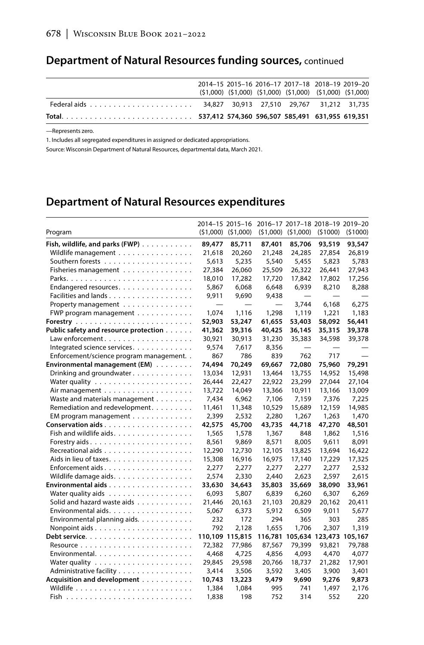# Department of Natural Resources funding sources, continued

|  |  | 2014-15 2015-16 2016-17 2017-18 2018-19 2019-20<br>$(51,000)$ $(51,000)$ $(51,000)$ $(51,000)$ $(51,000)$ $(51,000)$ |  |
|--|--|----------------------------------------------------------------------------------------------------------------------|--|
|  |  |                                                                                                                      |  |

-Represents zero.

1. Includes all segregated expenditures in assigned or dedicated appropriations.

Source: Wisconsin Department of Natural Resources, departmental data, March 2021.

# **Department of Natural Resources expenditures**

|                                        |        | $(51,000)$ $(51,000)$ | 2014-15 2015-16 2016-17 2017-18 2018-19 2019-20 | $(51,000)$ $(51,000)$    | (51000)                         | (51000) |
|----------------------------------------|--------|-----------------------|-------------------------------------------------|--------------------------|---------------------------------|---------|
| Program                                |        |                       |                                                 |                          |                                 |         |
| Fish, wildlife, and parks (FWP)        | 89,477 | 85,711                | 87,401                                          | 85,706                   | 93,519                          | 93,547  |
| Wildlife management                    | 21,618 | 20,260                | 21,248                                          | 24,285                   | 27,854                          | 26,819  |
|                                        | 5,613  | 5,235                 | 5,540                                           | 5,455                    | 5,823                           | 5,783   |
| Fisheries management                   | 27,384 | 26,060                | 25,509                                          | 26,322                   | 26,441                          | 27,943  |
|                                        | 18,010 | 17,282                | 17,720                                          | 17,842                   | 17,802                          | 17,256  |
| Endangered resources.                  | 5,867  | 6,068                 | 6,648                                           | 6,939                    | 8,210                           | 8,288   |
| Facilities and lands                   | 9,911  | 9,690                 | 9,438                                           | $\overline{\phantom{0}}$ |                                 |         |
| Property management                    |        |                       |                                                 | 3.744                    | 6.168                           | 6.275   |
| FWP program management                 | 1,074  | 1,116                 | 1,298                                           | 1,119                    | 1,221                           | 1,183   |
|                                        | 52,903 | 53,247                | 61,655                                          | 53,403                   | 58,092                          | 56,441  |
| Public safety and resource protection  | 41,362 | 39,316                | 40,425                                          | 36,145                   | 35,315                          | 39,378  |
| Law enforcement.                       | 30,921 | 30,913                | 31,230                                          | 35,383                   | 34,598                          | 39,378  |
| Integrated science services.           | 9,574  | 7,617                 | 8,356                                           |                          |                                 |         |
| Enforcement/science program management | 867    | 786                   | 839                                             | 762                      | 717                             |         |
| Environmental management (EM)          | 74,494 | 70,249                | 69,667                                          | 72,080                   | 75,960                          | 79,291  |
| Drinking and groundwater               | 13.034 | 12.931                | 13,464                                          | 13,755                   | 14,952                          | 15.498  |
|                                        | 26,444 | 22,427                | 22,922                                          | 23,299                   | 27,044                          | 27,104  |
|                                        | 13,722 | 14,049                | 13,366                                          | 10,911                   | 13,166                          | 13,009  |
| Waste and materials management         | 7,434  | 6,962                 | 7,106                                           | 7,159                    | 7,376                           | 7,225   |
| Remediation and redevelopment.         | 11,461 | 11,348                | 10,529                                          | 15,689                   | 12,159                          | 14,985  |
| EM program management $\ldots$ , , ,   | 2,399  | 2,532                 | 2,280                                           | 1,267                    | 1,263                           | 1,470   |
|                                        | 42,575 | 45,700                | 43,735                                          | 44,718                   | 47,270                          | 48,501  |
| Fish and wildlife aids                 | 1,565  | 1,578                 | 1,367                                           | 848                      | 1,862                           | 1,516   |
|                                        | 8,561  | 9,869                 | 8,571                                           | 8,005                    | 9,611                           | 8,091   |
|                                        | 12,290 | 12,730                | 12,105                                          | 13,825                   | 13,694                          | 16,422  |
| Aids in lieu of taxes.                 | 15,308 | 16,916                | 16,975                                          | 17,140                   | 17,229                          | 17,325  |
|                                        | 2,277  | 2,277                 | 2,277                                           | 2,277                    | 2,277                           | 2,532   |
| Wildlife damage aids.                  | 2,574  | 2,330                 | 2,440                                           | 2,623                    | 2,597                           | 2,615   |
|                                        | 33,630 | 34,643                | 35,803                                          | 35,669                   | 38,090                          | 33,961  |
| Water quality aids                     | 6,093  | 5,807                 | 6,839                                           | 6,260                    | 6,307                           | 6,269   |
| Solid and hazard waste aids            | 21,446 | 20,163                | 21,103                                          | 20,829                   | 20,162                          | 20,411  |
| Environmental aids.                    | 5,067  | 6,373                 | 5,912                                           | 6,509                    | 9,011                           | 5,677   |
| Environmental planning aids.           | 232    | 172                   | 294                                             | 365                      | 303                             | 285     |
| Nonpoint aids                          | 792    | 2,128                 | 1,655                                           | 1,706                    | 2,307                           | 1,319   |
|                                        |        | 110,109 115,815       |                                                 |                          | 116,781 105,634 123,473 105,167 |         |
|                                        | 72,382 | 77,986                | 87,567                                          | 79,399                   | 93,821                          | 79,788  |
|                                        | 4,468  | 4,725                 | 4,856                                           | 4,093                    | 4,470                           | 4,077   |
|                                        | 29,845 | 29,598                | 20,766                                          | 18,737                   | 21,282                          | 17,901  |
| Administrative facility                | 3,414  | 3,506                 | 3,592                                           | 3,405                    | 3,900                           | 3,401   |
| Acquisition and development            | 10.743 | 13,223                | 9,479                                           | 9,690                    | 9,276                           | 9,873   |
|                                        | 1,384  | 1,084                 | 995                                             | 741                      | 1,497                           | 2.176   |
|                                        | 1,838  | 198                   | 752                                             | 314                      | 552                             | 220     |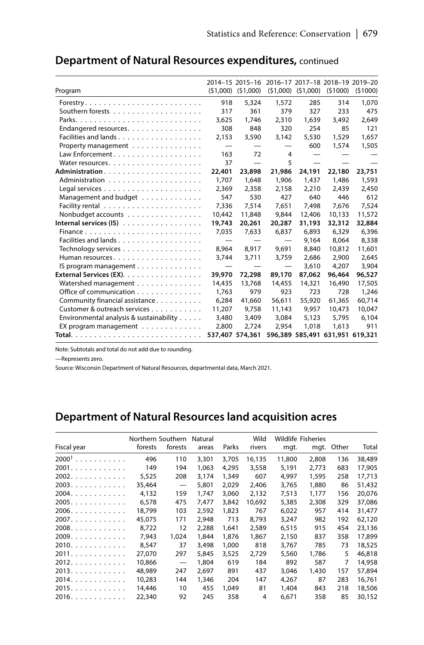| Program                                             |                          | $(51,000)$ $(51,000)$    | 2014-15 2015-16 2016-17 2017-18 2018-19 2019-20 | $(51,000)$ $(51,000)$    | (51000)                         | (51000) |
|-----------------------------------------------------|--------------------------|--------------------------|-------------------------------------------------|--------------------------|---------------------------------|---------|
|                                                     | 918                      | 5,324                    | 1,572                                           | 285                      | 314                             | 1,070   |
|                                                     | 317                      | 361                      | 379                                             | 327                      | 233                             | 475     |
|                                                     | 3.625                    | 1.746                    | 2.310                                           | 1.639                    | 3.492                           | 2.649   |
| Endangered resources.                               | 308                      | 848                      | 320                                             | 254                      | 85                              | 121     |
|                                                     | 2,153                    | 3,590                    | 3,142                                           | 5.530                    | 1,529                           | 1.657   |
| Property management                                 |                          |                          |                                                 | 600                      | 1.574                           | 1,505   |
|                                                     | 163                      | 72                       | 4                                               |                          |                                 |         |
|                                                     | 37                       | $\overline{\phantom{m}}$ | 5                                               | $\overline{\phantom{0}}$ |                                 |         |
| Administration                                      | 22,401                   | 23,898                   | 21,986                                          | 24,191                   | 22,180                          | 23,751  |
|                                                     | 1,707                    | 1,648                    | 1,906                                           | 1,437                    | 1,486                           | 1,593   |
|                                                     | 2.369                    | 2.358                    | 2.158                                           | 2.210                    | 2.439                           | 2,450   |
| Management and budget                               | 547                      | 530                      | 427                                             | 640                      | 446                             | 612     |
|                                                     | 7.336                    | 7.514                    | 7,651                                           | 7.498                    | 7.676                           | 7,524   |
| Nonbudget accounts                                  | 10.442                   | 11,848                   | 9.844                                           | 12,406                   | 10.133                          | 11,572  |
| Internal services (IS)                              | 19,743                   | 20,261                   | 20,287                                          | 31,193                   | 32,312                          | 32,884  |
| Finance                                             | 7.035                    | 7,633                    | 6,837                                           | 6,893                    | 6.329                           | 6,396   |
| Facilities and lands                                |                          | $\overline{\phantom{m}}$ | $\overline{\phantom{m}}$                        | 9.164                    | 8.064                           | 8.338   |
| Technology services                                 | 8.964                    | 8.917                    | 9.691                                           | 8.840                    | 10.812                          | 11,601  |
| Human resources                                     | 3,744                    | 3,711                    | 3,759                                           | 2,686                    | 2,900                           | 2,645   |
| IS program management $\ldots \ldots \ldots \ldots$ | $\overline{\phantom{0}}$ |                          |                                                 | 3,610                    | 4.207                           | 3,904   |
| External Services (EX).                             | 39,970                   | 72,298                   | 89,170                                          | 87,062                   | 96,464                          | 96,527  |
| Watershed management                                | 14,435                   | 13,768                   | 14,455                                          | 14,321                   | 16,490                          | 17,505  |
| Office of communication                             | 1.763                    | 979                      | 923                                             | 723                      | 728                             | 1,246   |
| Community financial assistance.                     | 6.284                    | 41.660                   | 56,611                                          | 55,920                   | 61.365                          | 60,714  |
| Customer & outreach services                        | 11,207                   | 9,758                    | 11,143                                          | 9,957                    | 10,473                          | 10,047  |
| Environmental analysis & sustainability             | 3,480                    | 3,409                    | 3,084                                           | 5,123                    | 5,795                           | 6,104   |
| EX program management $\ldots \ldots \ldots \ldots$ | 2,800                    | 2,724                    | 2,954                                           | 1,018                    | 1.613                           | 911     |
|                                                     |                          | 537,407 574,361          |                                                 |                          | 596,389 585,491 631,951 619,321 |         |

### Department of Natural Resources expenditures, continued

Note: Subtotals and total do not add due to rounding.

-Represents zero.

Source: Wisconsin Department of Natural Resources, departmental data, March 2021.

# **Department of Natural Resources land acquisition acres**

|             | Northern Southern |                                 | Natural |       | Wild           | Wildlife Fisheries |       |       |        |
|-------------|-------------------|---------------------------------|---------|-------|----------------|--------------------|-------|-------|--------|
| Fiscal year | forests           | forests                         | areas   | Parks | rivers         | mgt.               | mgt.  | Other | Total  |
| $2000^1$    | 496               | 110                             | 3,301   | 3,705 | 16,135         | 11,800             | 2,808 | 136   | 38,489 |
| 2001.       | 149               | 194                             | 1,063   | 4.295 | 3,558          | 5,191              | 2,773 | 683   | 17,905 |
| 2002.       | 5,525             | 208                             | 3.174   | 1,349 | 607            | 4.997              | 1,595 | 258   | 17,713 |
| 2003.       | 35,464            | $\overline{\phantom{m}}$        | 5,801   | 2,029 | 2,406          | 3,765              | 1,880 | 86    | 51,432 |
| 2004.       | 4,132             | 159                             | 1.747   | 3,060 | 2,132          | 7,513              | 1,177 | 156   | 20,076 |
| 2005.       | 6.578             | 475                             | 7.477   | 3,842 | 10,692         | 5,385              | 2,308 | 329   | 37,086 |
| 2006.       | 18,799            | 103                             | 2,592   | 1,823 | 767            | 6,022              | 957   | 414   | 31,477 |
| 2007.       | 45.075            | 171                             | 2.948   | 713   | 8.793          | 3.247              | 982   | 192   | 62,120 |
| 2008.       | 8,722             | 12                              | 2,288   | 1,641 | 2,589          | 6,515              | 915   | 454   | 23,136 |
| 2009.       | 7.943             | 1.024                           | 1.844   | 1.876 | 1.867          | 2.150              | 837   | 358   | 17,899 |
| 2010.       | 8,547             | 37                              | 3,498   | 1,000 | 818            | 3,767              | 785   | 73    | 18,525 |
| 2011.       | 27,070            | 297                             | 5.845   | 3,525 | 2,729          | 5.560              | 1,786 | 5     | 46,818 |
| 2012.       | 10.866            | $\hspace{0.1mm}-\hspace{0.1mm}$ | 1,804   | 619   | 184            | 892                | 587   | 7     | 14,958 |
| 2013.       | 48,989            | 247                             | 2,697   | 891   | 437            | 3.046              | 1,430 | 157   | 57,894 |
| 2014.       | 10.283            | 144                             | 1,346   | 204   | 147            | 4,267              | 87    | 283   | 16,761 |
| 2015.       | 14,446            | 10                              | 455     | 1.049 | 81             | 1.404              | 843   | 218   | 18,506 |
| 2016.       | 22,340            | 92                              | 245     | 358   | $\overline{4}$ | 6.671              | 358   | 85    | 30,152 |